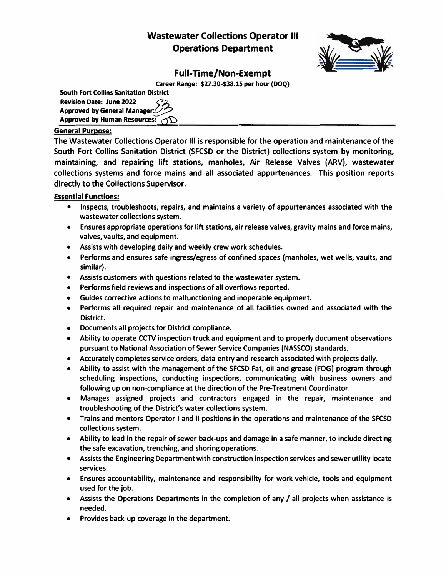# **Wastewater Collections Operator Ill Operations Department**



# **Full-Time/Non-Exempt**

**Career Range: \$27.30-\$38.15 per hour (DOQ)**

| <b>South Fort Collins Sanitation District</b> |  |
|-----------------------------------------------|--|
| <b>Revision Date: June 2022</b>               |  |
| Approved by General Manager:                  |  |
| Approved by Human Resources: $\bigcirc$       |  |

# **General Purpose:**

**The Wastewater Collections Operator Ill is responsible for the operation and maintenance of the South Fort Collins Sanitation District (SFCSD or the District) collections system by monitoring, maintaining, and repairing lift stations, manholes, Air Release Valves (ARV), wastewater collections systems and force mains and all associated appurtenances. This position reports directly to the Collections Supervisor.** 

**Essential Functions:**

- **• Inspects, troubleshoots, repairs, and maintains a variety of appurtenances associated with the wastewater collections system.**
- **• Ensures appropriate operations for lift stations, air release valves, gravity mains and force mains, valves, vaults, and equipment.**
- **• Assists with developing daily and weekly crew work schedules.**
- **• Performs and ensures safe ingress/egress of confined spaces (manholes, wet wells, vaults, and similar).**
- **• Assists customers with questions related to the wastewater system.**
- **• Performs field reviews and inspections of all overflows reported.**
- **• Guides corrective actions to malfunctioning and inoperable equipment.**
- **• Performs all required repair and maintenance of all facilities owned and associated with the District.**
- **• Documents all projects for District compliance.**
- **• Ability to operate CCTV inspection truck and equipment and to properly document observations pursuant to National Association of Sewer Service Companies (NASSCO) standards.**
- **• Accurately completes service orders, data entry and research associated with projects daily.**
- **• Ability to assist with the management of the SFCSD Fat, oil and grease (FOG) program through scheduling inspections, conducting inspections, communicating with business owners and following up on non-compliance at the direction of the Pre-Treatment Coordinator.**
- **• Manages assigned projects and contractors engaged in the repair, maintenance and troubleshooting of the District's water collections system.**
- **• Trains and mentors Operator I and II positions in the operations and maintenance of the SFCSD collections system.**
- **• Ability to lead in the repair of sewer back-ups and damage in a safe manner, to include directing the safe excavation, trenching, and shoring operations.**
- **• Assists the Engineering Department with construction inspection services and sewer utility locate services.**
- **• Ensures accountability, maintenance and responsibility for work vehicle, tools and equipment used for the job.**
- **• Assists the Operations Departments in the completion of any/ all projects when assistance is needed.**
- **• Provides back-up coverage in the department.**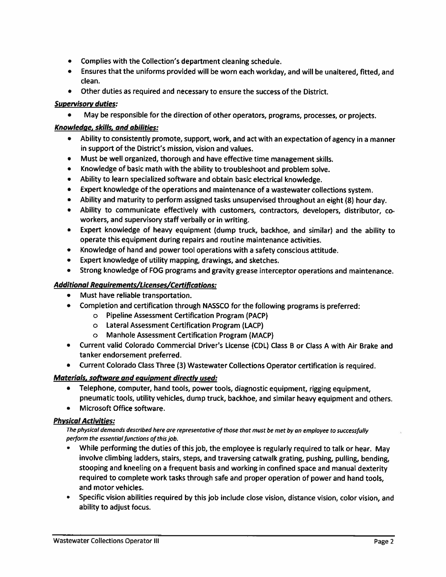- Complies with the Collection's department cleaning schedule.
- Ensures that the uniforms provided will be worn each workday, and will be unaltered, fitted, and clean.
- Other duties as required and necessary to ensure the success of the District.

# **Supervisory duties:**

May be responsible for the direction of other operators, programs, processes, or projects.

# Knowledge, skills, and abilities:

- Ability to consistently promote, support, work, and act with an expectation of agency in a manner in support of the District's mission, vision and values.
- Must be well organized, thorough and have effective time management skills.
- Knowledge of basic math with the ability to troubleshoot and problem solve.
- Ability to learn specialized software and obtain basic electrical knowledge.
- Expert knowledge of the operations and maintenance of a wastewater collections system.
- Ability and maturity to perform assigned tasks unsupervised throughout an eight (8) hour day.
- . Ability to communicate effectively with customers, contractors, developers, distributor, coworkers, and supervisory staff verbally or in writing.
- Expert knowledge of heavy equipment (dump truck, backhoe, and similar) and the ability to  $\bullet$ operate this equipment during repairs and routine maintenance activities.
- Knowledge of hand and power tool operations with a safety conscious attitude.
- Expert knowledge of utility mapping, drawings, and sketches.
- Strong knowledge of FOG programs and gravity grease interceptor operations and maintenance.

# **Additional Requirements/Licenses/Certifications:**

- Must have reliable transportation.
- Completion and certification through NASSCO for the following programs is preferred:
	- **O** Pipeline Assessment Certification Program (PACP)
	- o Lateral Assessment Certification Program (LACP)
	- $\circ$ Manhole Assessment Certification Program (MACP)
- Current valid Colorado Commercial Driver's License (CDL) Class B or Class A with Air Brake and tanker endorsement preferred.
- Current Colorado Class Three (3) Wastewater Collections Operator certification is required.

### **Materials, software and equipment directly used:**

- Telephone, computer, hand tools, power tools, diagnostic equipment, rigging equipment, pneumatic tools, utility vehicles, dump truck, backhoe, and similar heavy equipment and others.
- Microsoft Office software.

### **Physical Activities:**

#### The physical demands described here are representative of those that must be met by an employee to successfully perform the essential functions of this job.

- While performing the duties of this job, the employee is regularly required to talk or hear. May involve climbing ladders, stairs, steps, and traversing catwalk grating, pushing, pulling, bending, stooping and kneeling on a frequent basis and working in confined space and manual dexterity required to complete work tasks through safe and proper operation of power and hand tools, and motor vehicles.
- Specific vision abilities required by this job include close vision, distance vision, color vision, and ability to adjust focus.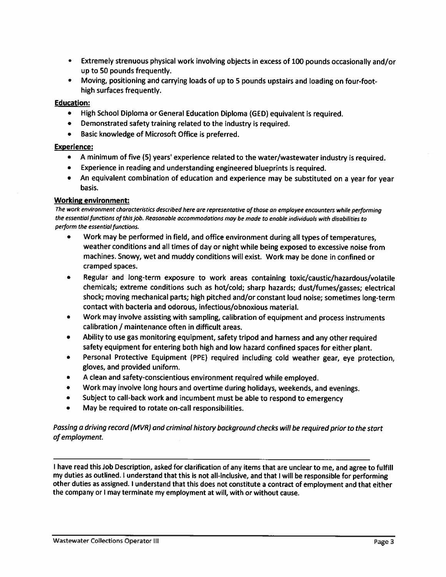- Extremely strenuous physical work involving objects in excess of 100 pounds occasionally and/or up to 50 pounds frequently.
- Moving, positioning and carrying loads of up to 5 pounds upstairs and loading on four-foothigh surfaces frequently.

#### **Education:**

- High School Diploma or General Education Diploma (GED) equivalent is required.  $\bullet$
- Demonstrated safety training related to the industry is required.  $\bullet$
- Basic knowledge of Microsoft Office is preferred.

#### **Experience:**

- A minimum of five (5) years' experience related to the water/wastewater industry is required.
- Experience in reading and understanding engineered blueprints is required.
- An equivalent combination of education and experience may be substituted on a year for year basis.

#### **Working environment:**

The work environment characteristics described here are representative of those an employee encounters while performina the essential functions of this job. Reasonable accommodations may be made to enable individuals with disabilities to perform the essential functions.

- Work may be performed in field, and office environment during all types of temperatures. weather conditions and all times of day or night while being exposed to excessive noise from machines. Snowy, wet and muddy conditions will exist. Work may be done in confined or cramped spaces.
- Regular and long-term exposure to work areas containing toxic/caustic/hazardous/volatile  $\bullet$ chemicals; extreme conditions such as hot/cold; sharp hazards; dust/fumes/gasses; electrical shock; moving mechanical parts; high pitched and/or constant loud noise; sometimes long-term contact with bacteria and odorous, infectious/obnoxious material.
- Work may involve assisting with sampling, calibration of equipment and process instruments calibration / maintenance often in difficult areas.
- Ability to use gas monitoring equipment, safety tripod and harness and any other required  $\bullet$ safety equipment for entering both high and low hazard confined spaces for either plant.
- Personal Protective Equipment (PPE) required including cold weather gear, eye protection,  $\bullet$ gloves, and provided uniform.
- A clean and safety-conscientious environment required while employed.
- Work may involve long hours and overtime during holidays, weekends, and evenings.  $\bullet$
- Subject to call-back work and incumbent must be able to respond to emergency
- May be required to rotate on-call responsibilities.

#### Passing a driving record (MVR) and criminal history background checks will be required prior to the start of employment.

I have read this Job Description, asked for clarification of any items that are unclear to me, and agree to fulfill my duties as outlined. I understand that this is not all-inclusive, and that I will be responsible for performing other duties as assigned. I understand that this does not constitute a contract of employment and that either the company or I may terminate my employment at will, with or without cause.